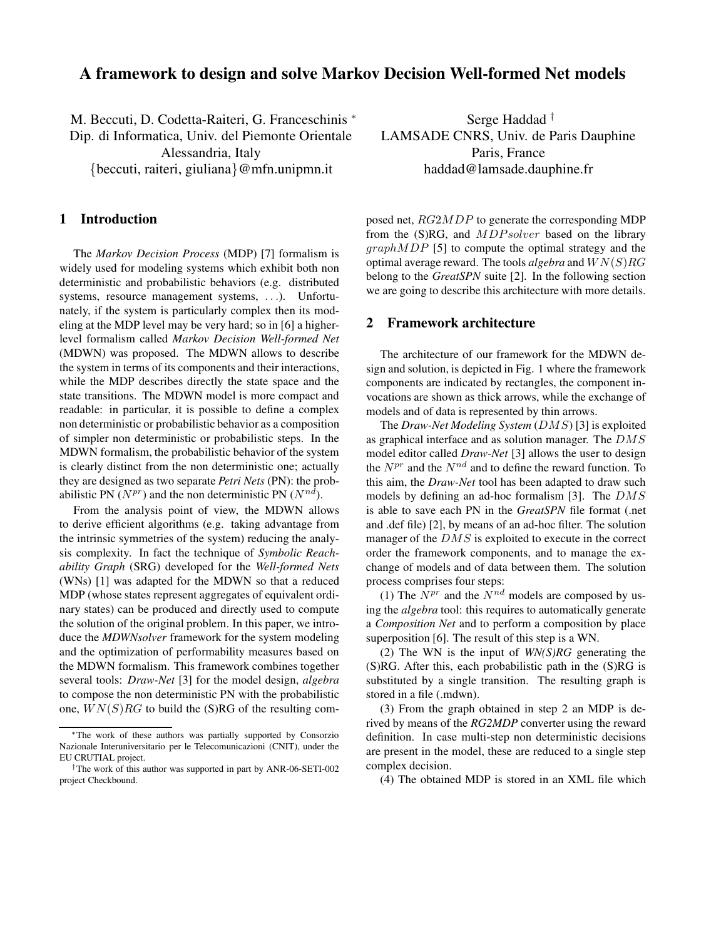# **A framework to design and solve Markov Decision Well-formed Net models**

M. Beccuti, D. Codetta-Raiteri, G. Franceschinis <sup>∗</sup> Dip. di Informatica, Univ. del Piemonte Orientale Alessandria, Italy {beccuti, raiteri, giuliana}@mfn.unipmn.it

### **1 Introduction**

The *Markov Decision Process* (MDP) [7] formalism is widely used for modeling systems which exhibit both non deterministic and probabilistic behaviors (e.g. distributed systems, resource management systems, . . .). Unfortunately, if the system is particularly complex then its modeling at the MDP level may be very hard; so in [6] a higherlevel formalism called *Markov Decision Well-formed Net* (MDWN) was proposed. The MDWN allows to describe the system in terms of its components and their interactions, while the MDP describes directly the state space and the state transitions. The MDWN model is more compact and readable: in particular, it is possible to define a complex non deterministic or probabilistic behavior as a composition of simpler non deterministic or probabilistic steps. In the MDWN formalism, the probabilistic behavior of the system is clearly distinct from the non deterministic one; actually they are designed as two separate *Petri Nets* (PN): the probabilistic PN ( $N^{pr}$ ) and the non deterministic PN ( $N^{nd}$ ).

From the analysis point of view, the MDWN allows to derive efficient algorithms (e.g. taking advantage from the intrinsic symmetries of the system) reducing the analysis complexity. In fact the technique of *Symbolic Reachability Graph* (SRG) developed for the *Well-formed Nets* (WNs) [1] was adapted for the MDWN so that a reduced MDP (whose states represent aggregates of equivalent ordinary states) can be produced and directly used to compute the solution of the original problem. In this paper, we introduce the *MDWNsolver* framework for the system modeling and the optimization of performability measures based on the MDWN formalism. This framework combines together several tools: *Draw-Net* [3] for the model design, *algebra* to compose the non deterministic PN with the probabilistic one,  $WN(S)RG$  to build the (S)RG of the resulting com-

Serge Haddad † LAMSADE CNRS, Univ. de Paris Dauphine Paris, France haddad@lamsade.dauphine.fr

posed net, RG2MDP to generate the corresponding MDP from the (S)RG, and *MDPsolver* based on the library graphMDP [5] to compute the optimal strategy and the optimal average reward. The tools *algebra* and WN(S)RG belong to the *GreatSPN* suite [2]. In the following section we are going to describe this architecture with more details.

#### **2 Framework architecture**

The architecture of our framework for the MDWN design and solution, is depicted in Fig. 1 where the framework components are indicated by rectangles, the component invocations are shown as thick arrows, while the exchange of models and of data is represented by thin arrows.

The *Draw-Net Modeling System* (DMS) [3] is exploited as graphical interface and as solution manager. The DMS model editor called *Draw-Net* [3] allows the user to design the  $N^{pr}$  and the  $N^{nd}$  and to define the reward function. To this aim, the *Draw-Net* tool has been adapted to draw such models by defining an ad-hoc formalism [3]. The DMS is able to save each PN in the *GreatSPN* file format (.net and .def file) [2], by means of an ad-hoc filter. The solution manager of the DMS is exploited to execute in the correct order the framework components, and to manage the exchange of models and of data between them. The solution process comprises four steps:

(1) The  $N^{pr}$  and the  $N^{nd}$  models are composed by using the *algebra* tool: this requires to automatically generate a *Composition Net* and to perform a composition by place superposition [6]. The result of this step is a WN.

(2) The WN is the input of *WN(S)RG* generating the (S)RG. After this, each probabilistic path in the (S)RG is substituted by a single transition. The resulting graph is stored in a file (.mdwn).

(3) From the graph obtained in step 2 an MDP is derived by means of the *RG2MDP* converter using the reward definition. In case multi-step non deterministic decisions are present in the model, these are reduced to a single step complex decision.

(4) The obtained MDP is stored in an XML file which

<sup>∗</sup>The work of these authors was partially supported by Consorzio Nazionale Interuniversitario per le Telecomunicazioni (CNIT), under the EU CRUTIAL project.

<sup>†</sup>The work of this author was supported in part by ANR-06-SETI-002 project Checkbound.